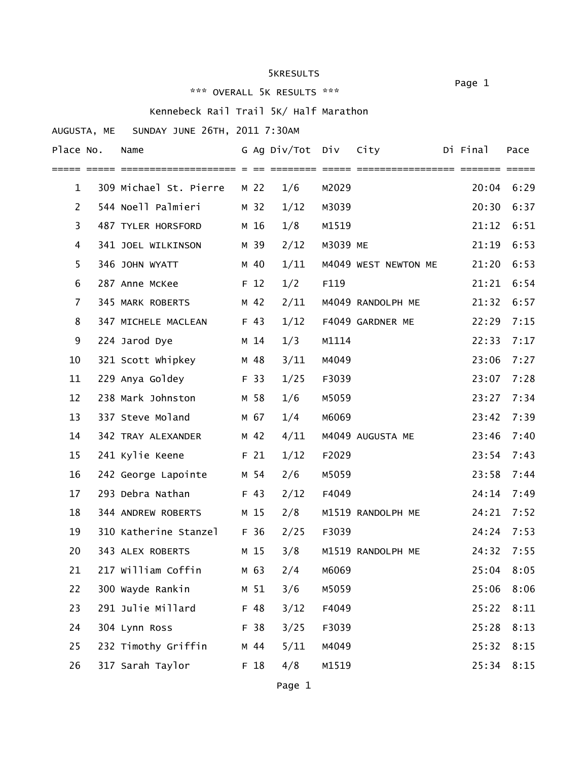#### 5KRESULTS

reduced to the contract of the contract of the contract of the contract of the contract of the contract of the contract of the contract of the contract of the contract of the contract of the contract of the contract of the

#### \*\*\* OVERALL 5K RESULTS \*\*\*

# Kennebeck Rail Trail 5K/ Half Marathon

AUGUSTA, ME SUNDAY JUNE 26TH, 2011 7:30AM

| Place No.      | Name                       |                 | G Ag Div/Tot Div |          | City                 | Di Final | Pace       |
|----------------|----------------------------|-----------------|------------------|----------|----------------------|----------|------------|
|                |                            |                 |                  |          |                      |          |            |
| $\mathbf 1$    | 309 Michael St. Pierre     | M 22            | 1/6              | M2029    |                      | 20:04    | 6:29       |
| $\overline{2}$ | 544 Noell Palmieri         | M 32            | 1/12             | M3039    |                      | 20:30    | 6:37       |
| 3              | 487 TYLER HORSFORD         | M 16            | 1/8              | M1519    |                      | 21:12    | 6:51       |
| 4              | 341 JOEL WILKINSON         | M 39            | 2/12             | M3039 ME |                      | 21:19    | 6:53       |
| 5              | 346 JOHN WYATT             | M 40            | 1/11             |          | M4049 WEST NEWTON ME | 21:20    | 6:53       |
| 6              | 287 Anne McKee             | F 12            | 1/2              | F119     |                      | 21:21    | 6:54       |
| $\overline{7}$ | 345 MARK ROBERTS           | M 42            | 2/11             |          | M4049 RANDOLPH ME    | 21:32    | 6:57       |
| 8              | 347 MICHELE MACLEAN        | F 43            | 1/12             |          | F4049 GARDNER ME     | 22:29    | 7:15       |
| 9              | 224 Jarod Dye              | M 14            | 1/3              | M1114    |                      | 22:33    | 7:17       |
| 10             | 321 Scott Whipkey          | M 48            | 3/11             | M4049    |                      | 23:06    | 7:27       |
| 11             | 229 Anya Goldey            | F 33            | 1/25             | F3039    |                      | 23:07    | 7:28       |
| 12             | 238 Mark Johnston          | M 58            | 1/6              | M5059    |                      | 23:27    | 7:34       |
| 13             | 337 Steve Moland           | M 67            | 1/4              | M6069    |                      | 23:42    | 7:39       |
| 14             | 342 TRAY ALEXANDER         | M 42            | 4/11             |          | M4049 AUGUSTA ME     | 23:46    | 7:40       |
| 15             | 241 Kylie Keene            | F 21            | 1/12             | F2029    |                      | 23:54    | 7:43       |
| 16             | 242 George Lapointe        | M 54            | 2/6              | M5059    |                      | 23:58    | 7:44       |
| 17             | 293 Debra Nathan           | F 43            | 2/12             | F4049    |                      | 24:14    | 7:49       |
| 18             | 344 ANDREW ROBERTS         | M 15            | 2/8              |          | M1519 RANDOLPH ME    | 24:21    | 7:52       |
| 19             | 310 Katherine Stanzel F 36 |                 | 2/25             | F3039    |                      | 24:24    | 7:53       |
| 20             | 343 ALEX ROBERTS           | M 15            | 3/8              |          | M1519 RANDOLPH ME    | 24:32    | 7:55       |
| 21             | 217 William Coffin M 63    |                 | 2/4              | M6069    |                      |          | 25:04 8:05 |
| 22             | 300 Wayde Rankin           | M 51            | 3/6              | M5059    |                      | 25:06    | 8:06       |
| 23             | 291 Julie Millard          | F 48            | 3/12             | F4049    |                      | 25:22    | 8:11       |
| 24             | 304 Lynn Ross              | F 38            | 3/25             | F3039    |                      | 25:28    | 8:13       |
| 25             | 232 Timothy Griffin        | M 44            | 5/11             | M4049    |                      | 25:32    | 8:15       |
| 26             | 317 Sarah Taylor           | F <sub>18</sub> | 4/8              | M1519    |                      | 25:34    | 8:15       |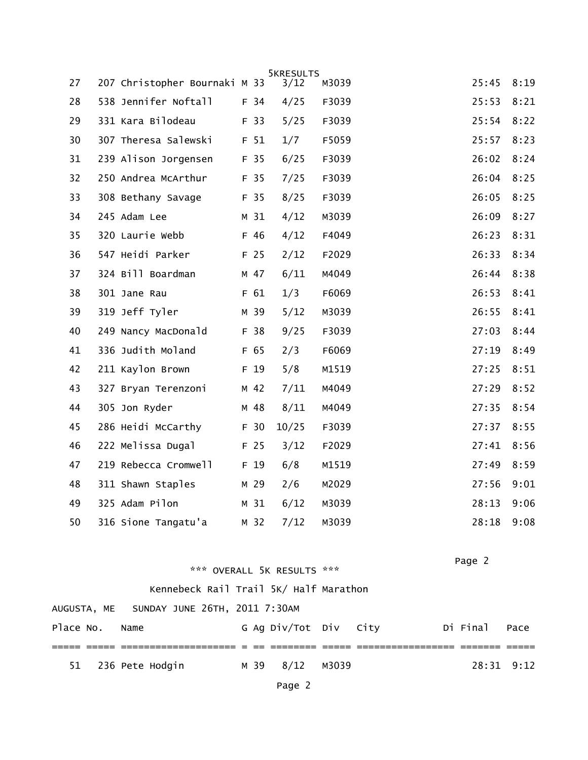|    |                               |      | <b>5KRESULTS</b> |       |       |      |
|----|-------------------------------|------|------------------|-------|-------|------|
| 27 | 207 Christopher Bournaki M 33 |      | 3/12             | M3039 | 25:45 | 8:19 |
| 28 | 538 Jennifer Noftall          | F 34 | 4/25             | F3039 | 25:53 | 8:21 |
| 29 | 331 Kara Bilodeau             | F 33 | 5/25             | F3039 | 25:54 | 8:22 |
| 30 | 307 Theresa Salewski          | F 51 | 1/7              | F5059 | 25:57 | 8:23 |
| 31 | 239 Alison Jorgensen          | F 35 | 6/25             | F3039 | 26:02 | 8:24 |
| 32 | 250 Andrea McArthur           | F 35 | 7/25             | F3039 | 26:04 | 8:25 |
| 33 | 308 Bethany Savage            | F 35 | 8/25             | F3039 | 26:05 | 8:25 |
| 34 | 245 Adam Lee                  | M 31 | 4/12             | M3039 | 26:09 | 8:27 |
| 35 | 320 Laurie Webb               | F 46 | 4/12             | F4049 | 26:23 | 8:31 |
| 36 | 547 Heidi Parker              | F 25 | 2/12             | F2029 | 26:33 | 8:34 |
| 37 | 324 Bill Boardman             | M 47 | 6/11             | M4049 | 26:44 | 8:38 |
| 38 | 301 Jane Rau                  | F 61 | 1/3              | F6069 | 26:53 | 8:41 |
| 39 | 319 Jeff Tyler                | M 39 | 5/12             | M3039 | 26:55 | 8:41 |
| 40 | 249 Nancy MacDonald           | F 38 | 9/25             | F3039 | 27:03 | 8:44 |
| 41 | 336 Judith Moland             | F 65 | 2/3              | F6069 | 27:19 | 8:49 |
| 42 | 211 Kaylon Brown              | F 19 | 5/8              | M1519 | 27:25 | 8:51 |
| 43 | 327 Bryan Terenzoni           | M 42 | 7/11             | M4049 | 27:29 | 8:52 |
| 44 | 305 Jon Ryder                 | M 48 | 8/11             | M4049 | 27:35 | 8:54 |
| 45 | 286 Heidi McCarthy            | F 30 | 10/25            | F3039 | 27:37 | 8:55 |
| 46 | 222 Melissa Dugal             | F 25 | 3/12             | F2029 | 27:41 | 8:56 |
| 47 | 219 Rebecca Cromwell          | F 19 | 6/8              | M1519 | 27:49 | 8:59 |
| 48 | 311 Shawn Staples             | M 29 | 2/6              | M2029 | 27:56 | 9:01 |
| 49 | 325 Adam Pilon                | M 31 | 6/12             | M3039 | 28:13 | 9:06 |
| 50 | 316 Sione Tangatu'a           | M 32 | 7/12             | M3039 | 28:18 | 9:08 |

|           |                                            | *** OVERALL 5K RESULTS *** |       |  | Page 2     |      |
|-----------|--------------------------------------------|----------------------------|-------|--|------------|------|
|           | Kennebeck Rail Trail 5K/ Half Marathon     |                            |       |  |            |      |
|           | AUGUSTA, ME∆ SUNDAY JUNE 26TH, 2011 7:30AM |                            |       |  |            |      |
| Place No. | Name                                       | G Ag Div/Tot Div City      |       |  | Di Final   | Pace |
|           |                                            |                            |       |  |            |      |
| 51        | 236 Pete Hodgin                            | M 39 8/12                  | м3039 |  | 28:31 9:12 |      |

Page 2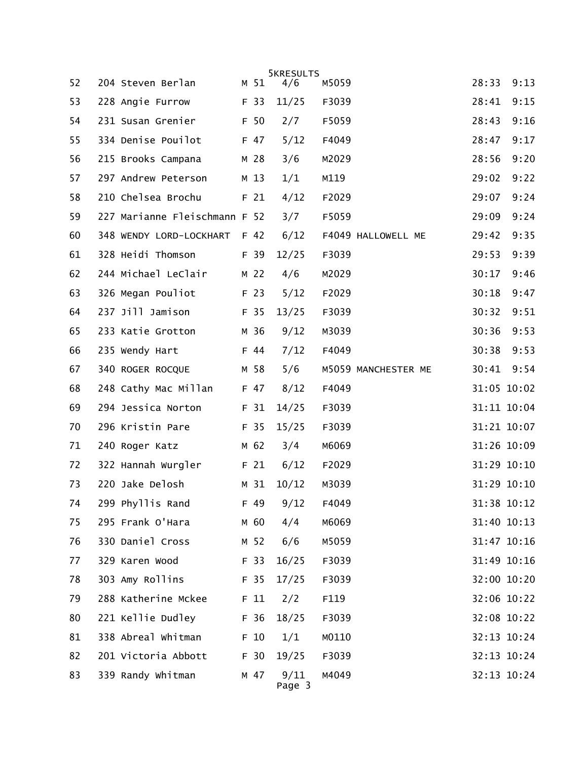| 52 | 204 Steven Berlan             | M 51     | <b>SKRESULTS</b><br>4/6 | M5059 |                     | 28:33 | 9:13        |
|----|-------------------------------|----------|-------------------------|-------|---------------------|-------|-------------|
| 53 | 228 Angie Furrow              | F 33     | 11/25                   | F3039 |                     | 28:41 | 9:15        |
| 54 | 231 Susan Grenier             | F 50     | 2/7                     | F5059 |                     | 28:43 | 9:16        |
| 55 | 334 Denise Pouilot            | F 47     | 5/12                    | F4049 |                     | 28:47 | 9:17        |
| 56 | 215 Brooks Campana            | M 28     | 3/6                     | M2029 |                     | 28:56 | 9:20        |
| 57 | 297 Andrew Peterson           | M 13     | 1/1                     | M119  |                     | 29:02 | 9:22        |
| 58 | 210 Chelsea Brochu            | F 21     | 4/12                    | F2029 |                     | 29:07 | 9:24        |
| 59 | 227 Marianne Fleischmann F 52 |          | 3/7                     | F5059 |                     | 29:09 | 9:24        |
| 60 | 348 WENDY LORD-LOCKHART F 42  |          | 6/12                    |       | F4049 HALLOWELL ME  | 29:42 | 9:35        |
| 61 | 328 Heidi Thomson             | F 39     | 12/25                   | F3039 |                     | 29:53 | 9:39        |
| 62 | 244 Michael LeClair           | M 22     | 4/6                     | M2029 |                     | 30:17 | 9:46        |
| 63 | 326 Megan Pouliot             | F 23     | 5/12                    | F2029 |                     | 30:18 | 9:47        |
| 64 | 237 Jill Jamison              | F 35     | 13/25                   | F3039 |                     | 30:32 | 9:51        |
| 65 | 233 Katie Grotton             | M 36     | 9/12                    | M3039 |                     | 30:36 | 9:53        |
| 66 | 235 Wendy Hart                | F 44     | 7/12                    | F4049 |                     | 30:38 | 9:53        |
| 67 | 340 ROGER ROCQUE              | M 58     | 5/6                     |       | M5059 MANCHESTER ME | 30:41 | 9:54        |
| 68 | 248 Cathy Mac Millan          | F 47     | 8/12                    | F4049 |                     |       | 31:05 10:02 |
| 69 | 294 Jessica Norton            | F 31     | 14/25                   | F3039 |                     |       | 31:11 10:04 |
| 70 | 296 Kristin Pare              | F 35     | 15/25                   | F3039 |                     |       | 31:21 10:07 |
| 71 | 240 Roger Katz                | M 62     | 3/4                     | M6069 |                     |       | 31:26 10:09 |
| 72 | 322 Hannah Wurgler            | F 21     | 6/12                    | F2029 |                     |       | 31:29 10:10 |
| 73 | 220 Jake Delosh               | M 31     | 10/12                   | M3039 |                     |       | 31:29 10:10 |
| 74 | 299 Phyllis Rand              | F 49     | 9/12                    | F4049 |                     |       | 31:38 10:12 |
| 75 | 295 Frank O'Hara              | M 60     | 4/4                     | M6069 |                     |       | 31:40 10:13 |
| 76 | 330 Daniel Cross              | M 52     | 6/6                     | M5059 |                     |       | 31:47 10:16 |
| 77 | 329 Karen Wood                | F 33     | 16/25                   | F3039 |                     |       | 31:49 10:16 |
| 78 | 303 Amy Rollins               | F 35     | 17/25                   | F3039 |                     |       | 32:00 10:20 |
| 79 | 288 Katherine Mckee           | $F$ 11   | 2/2                     | F119  |                     |       | 32:06 10:22 |
| 80 | 221 Kellie Dudley             | F 36     | 18/25                   | F3039 |                     |       | 32:08 10:22 |
| 81 | 338 Abreal Whitman            | $F_1$ 10 | 1/1                     | M0110 |                     |       | 32:13 10:24 |
| 82 | 201 Victoria Abbott           | F 30     | 19/25                   | F3039 |                     |       | 32:13 10:24 |
| 83 | 339 Randy Whitman             | M 47     | 9/11<br>Page 3          | M4049 |                     |       | 32:13 10:24 |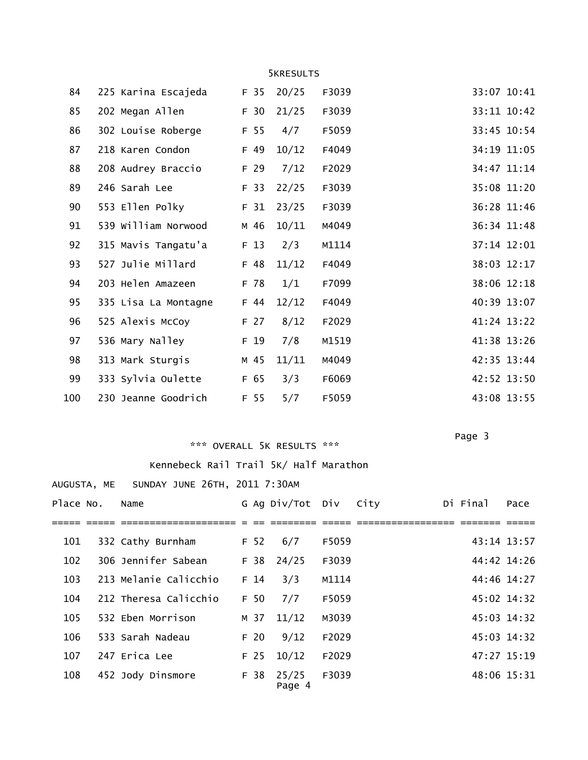| <b>SKRESULTS</b> |                          |                 |       |       |             |  |  |  |
|------------------|--------------------------|-----------------|-------|-------|-------------|--|--|--|
| 84               | 225 Karina Escajeda F 35 |                 | 20/25 | F3039 | 33:07 10:41 |  |  |  |
| 85               | 202 Megan Allen          | F 30            | 21/25 | F3039 | 33:11 10:42 |  |  |  |
| 86               | 302 Louise Roberge       | F 55            | 4/7   | F5059 | 33:45 10:54 |  |  |  |
| 87               | 218 Karen Condon         | F 49            | 10/12 | F4049 | 34:19 11:05 |  |  |  |
| 88               | 208 Audrey Braccio       | F 29            | 7/12  | F2029 | 34:47 11:14 |  |  |  |
| 89               | 246 Sarah Lee            | F 33            | 22/25 | F3039 | 35:08 11:20 |  |  |  |
| 90               | 553 Ellen Polky          | F 31            | 23/25 | F3039 | 36:28 11:46 |  |  |  |
| 91               | 539 William Norwood      | M 46            | 10/11 | M4049 | 36:34 11:48 |  |  |  |
| 92               | 315 Mavis Tangatu'a      | F <sub>13</sub> | 2/3   | M1114 | 37:14 12:01 |  |  |  |
| 93               | 527 Julie Millard        | F 48            | 11/12 | F4049 | 38:03 12:17 |  |  |  |
| 94               | 203 Helen Amazeen        | F 78            | 1/1   | F7099 | 38:06 12:18 |  |  |  |
| 95               | 335 Lisa La Montagne     | $F$ 44          | 12/12 | F4049 | 40:39 13:07 |  |  |  |
| 96               | 525 Alexis McCoy         | F 27            | 8/12  | F2029 | 41:24 13:22 |  |  |  |
| 97               | 536 Mary Nalley          | F 19            | 7/8   | M1519 | 41:38 13:26 |  |  |  |
| 98               | 313 Mark Sturgis         | M 45            | 11/11 | M4049 | 42:35 13:44 |  |  |  |
| 99               | 333 Sylvia Oulette       | F 65            | 3/3   | F6069 | 42:52 13:50 |  |  |  |
| 100              | 230 Jeanne Goodrich      | F 55            | 5/7   | F5059 | 43:08 13:55 |  |  |  |

### \*\*\* OVERALL 5K RESULTS \*\*\*

Page 3 - Page 3 - Page 3 - Page 3 - Page 3 - Page 3 - Page 3 - Page 3 - Page 3 - Page 3 - Page 3 - Page 3 - Page 3 - Page 3 - Page 3 - Page 3 - Page 3 - Page 3 - Page 3 - Page 3 - Page 3 - Page 3 - Page 3 - Page 3 - Page 3

## Kennebeck Rail Trail 5K/ Half Marathon

|           | AUGUSTA, ME SUNDAY JUNE 26TH, 2011 7:30AM |      |                        |       |      |             |      |
|-----------|-------------------------------------------|------|------------------------|-------|------|-------------|------|
| Place No. | Name                                      |      | G Ag Div/Tot Div       |       | City | Di Final    | Pace |
|           |                                           |      |                        |       |      |             |      |
| 101       | 332 Cathy Burnham                         | F 52 | 6/7                    | F5059 |      | 43:14 13:57 |      |
| 102       | 306 Jennifer Sabean                       | F 38 | 24/25                  | F3039 |      | 44:42 14:26 |      |
| 103       | 213 Melanie Calicchio                     | F 14 | 3/3                    | M1114 |      | 44:46 14:27 |      |
| 104       | 212 Theresa Calicchio                     | F 50 | 7/7                    | F5059 |      | 45:02 14:32 |      |
| 105       | 532 Eben Morrison                         | M 37 | 11/12                  | M3039 |      | 45:03 14:32 |      |
| 106       | 533 Sarah Nadeau                          | F 20 | 9/12                   | F2029 |      | 45:03 14:32 |      |
| 107       | 247 Erica Lee                             | F 25 | 10/12                  | F2029 |      | 47:27 15:19 |      |
| 108       | 452 Jody Dinsmore                         |      | $F$ 38 25/25<br>Page 4 | F3039 |      | 48:06 15:31 |      |